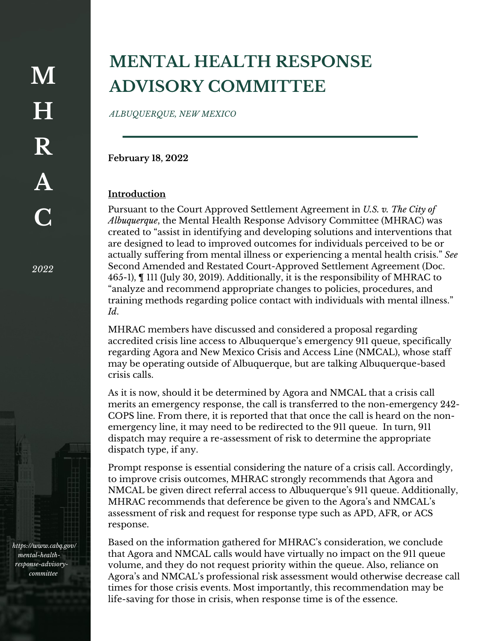*2022*

*https://www.cabq.gov/ mental-healthresponse-advisorycommittee*

## **MENTAL HEALTH RESPONSE ADVISORY COMMITTEE**

*ALBUQUERQUE, NEW MEXICO*

**February 18, 2022**

## **Introduction**

Pursuant to the Court Approved Settlement Agreement in *U.S. v. The City of Albuquerque*, the Mental Health Response Advisory Committee (MHRAC) was created to "assist in identifying and developing solutions and interventions that are designed to lead to improved outcomes for individuals perceived to be or actually suffering from mental illness or experiencing a mental health crisis." *See*  Second Amended and Restated Court-Approved Settlement Agreement (Doc. 465-1), ¶ 111 (July 30, 2019). Additionally, it is the responsibility of MHRAC to "analyze and recommend appropriate changes to policies, procedures, and training methods regarding police contact with individuals with mental illness." *Id*.

MHRAC members have discussed and considered a proposal regarding accredited crisis line access to Albuquerque's emergency 911 queue, specifically regarding Agora and New Mexico Crisis and Access Line (NMCAL), whose staff may be operating outside of Albuquerque, but are talking Albuquerque-based crisis calls.

As it is now, should it be determined by Agora and NMCAL that a crisis call merits an emergency response, the call is transferred to the non-emergency 242- COPS line. From there, it is reported that that once the call is heard on the nonemergency line, it may need to be redirected to the 911 queue. In turn, 911 dispatch may require a re-assessment of risk to determine the appropriate dispatch type, if any.

Prompt response is essential considering the nature of a crisis call. Accordingly, to improve crisis outcomes, MHRAC strongly recommends that Agora and NMCAL be given direct referral access to Albuquerque's 911 queue. Additionally, MHRAC recommends that deference be given to the Agora's and NMCAL's assessment of risk and request for response type such as APD, AFR, or ACS response.

Based on the information gathered for MHRAC's consideration, we conclude that Agora and NMCAL calls would have virtually no impact on the 911 queue volume, and they do not request priority within the queue. Also, reliance on Agora's and NMCAL's professional risk assessment would otherwise decrease call times for those crisis events. Most importantly, this recommendation may be life-saving for those in crisis, when response time is of the essence.